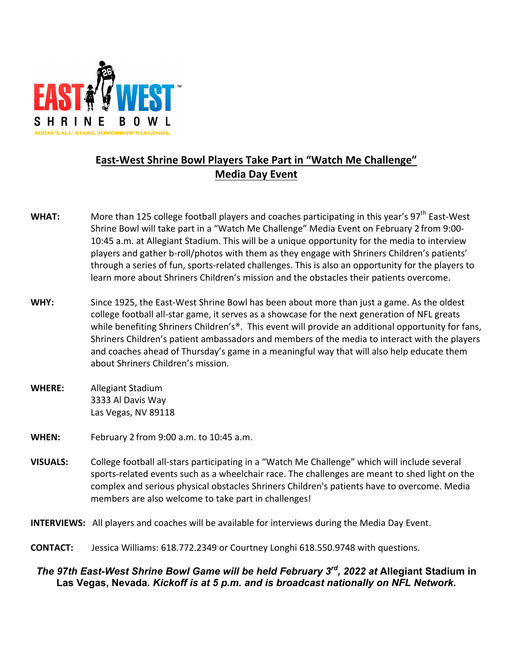

## **East-West Shrine Bowl Players Take Part in "Watch Me Challenge" Media Day Event**

- **WHAT:** More than 125 college football players and coaches participating in this year's 97<sup>th</sup> East-West Shrine Bowl will take part in a "Watch Me Challenge" Media Event on February 2 from 9:00-10:45 a.m. at Allegiant Stadium. This will be a unique opportunity for the media to interview players and gather b-roll/photos with them as they engage with Shriners Children's patients' through a series of fun, sports-related challenges. This is also an opportunity for the players to learn more about Shriners Children's mission and the obstacles their patients overcome.
- WHY: Since 1925, the East-West Shrine Bowl has been about more than just a game. As the oldest college football all-star game, it serves as a showcase for the next generation of NFL greats while benefiting Shriners Children's®. This event will provide an additional opportunity for fans, Shriners Children's patient ambassadors and members of the media to interact with the players and coaches ahead of Thursday's game in a meaningful way that will also help educate them about Shriners Children's mission.
- **WHERE:** Allegiant Stadium 3333 Al Davis Way Las Vegas, NV 89118
- **WHEN:** February 2 from 9:00 a.m. to 10:45 a.m.
- **VISUALS:** College football all-stars participating in a "Watch Me Challenge" which will include several sports-related events such as a wheelchair race. The challenges are meant to shed light on the complex and serious physical obstacles Shriners Children's patients have to overcome. Media members are also welcome to take part in challenges!

**INTERVIEWS:** All players and coaches will be available for interviews during the Media Day Event.

**CONTACT:** Jessica Williams: 618.772.2349 or Courtney Longhi 618.550.9748 with questions.

## *The 97th East-West Shrine Bowl Game will be held February 3rd, 2022 at* **Allegiant Stadium in Las Vegas, Nevada***. Kickoff is at 5 p.m. and is broadcast nationally on NFL Network.*